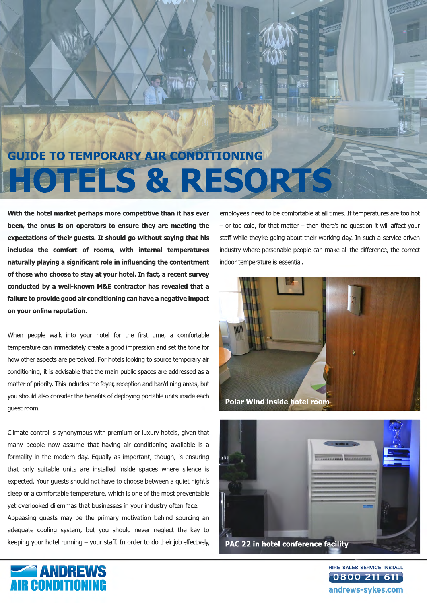## **GUIDE TO TEMPORARY AIR CONDITIONING HOTELS & RESORTS**

**With the hotel market perhaps more competitive than it has ever been, the onus is on operators to ensure they are meeting the expectations of their guests. It should go without saying that his includes the comfort of rooms, with internal temperatures naturally playing a significant role in influencing the contentment of those who choose to stay at your hotel. In fact, a recent survey conducted by a well-known M&E contractor has revealed that a failure failure to provide good air conditioning can have a negative impact on your online reputation.**

When people walk into your hotel for the first time, a comfortable temperature can immediately create a good impression and set the tone for how other aspects are perceived. For hotels looking to source temporary air conditioning, it is advisable that the main public spaces are addressed as a matter of priority. This includes the foyer, reception and bar/dining areas, but you should also consider the benefits of deploying portable units inside each guest room.

Climate control is synonymous with premium or luxury hotels, given that many people now assume that having air conditioning available is a formality in the modern day. Equally as important, though, is ensuring that only suitable units are installed inside spaces where silence is expected. Your guests should not have to choose between a quiet night's sleep or a comfortable temperature, which is one of the most preventable yet overlooked dilemmas that businesses in your industry often face. Appeasing guests may be the primary motivation behind sourcing an

adequate cooling system, but you should never neglect the key to keeping your hotel running – your staff. In order to do their job effectively, employees need to be comfortable at all times. If temperatures are too hot – or too cold, for that matter – then there's no question it will affect your staff while they're going about their working day. In such a service-driven industry where personable people can make all the difference, the correct indoor temperature is essential.







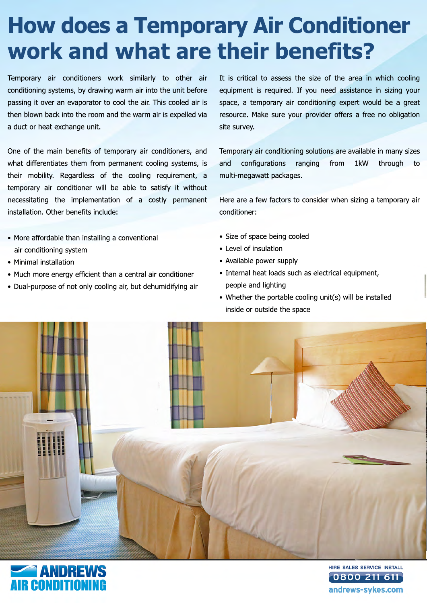## **How does a Temporary Air Conditioner work and what are their benefits?**

Temporary air conditioners work similarly to other air conditioning systems, by drawing warm air into the unit before passing it over an evaporator to cool the air. This cooled air is then blown back into the room and the warm air is expelled via a duct or heat exchange unit.

One of the main benefits of temporary air conditioners, and what differentiates them from permanent cooling systems, is their mobility. Regardless of the cooling requirement, a temporary air conditioner will be able to satisfy it without necessitating the implementation of a costly permanent installation. Other benefits include:

- More affordable than installing a conventional air conditioning system
- Minimal installation
- Much more energy efficient than a central air conditioner
- Dual-purpose of not only cooling air, but dehumidifying air

It is critical to assess the size of the area in which cooling equipment is required. If you need assistance in sizing your space, a temporary air conditioning expert would be a great resource. Make sure your provider offers a free no obligation site survey.

Temporary air conditioning solutions are available in many sizes and configurations ranging from 1kW through to multi-megawatt packages.

Here are a few factors to consider when sizing a temporary air conditioner:

- Size of space being cooled
- Level of insulation
- Available power supply
- Internal heat loads such as electrical equipment, people and lighting
- Whether the portable cooling unit(s) will be installed inside or outside the space





HIRE SALES SERVICE INSTALL 0800 211 andrews-sykes.com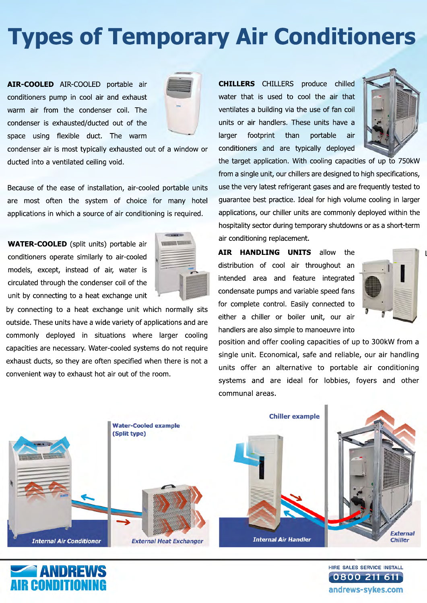## **Types of Temporary Air Conditioners**

**AIR-COOLED** AIR-COOLED portable air conditioners pump in cool air and exhaust warm air from the condenser coil. The condenser is exhausted/ducted out of the space using flexible duct. The warm



condenser air is most typically exhausted out of a window or ducted into a ventilated ceiling void.

Because of the ease of installation, air-cooled portable units are most often the system of choice for many hotel applications in which a source of air conditioning is required.

**WATER-COOLED** (split units) portable air conditioners operate similarly to air-cooled models, except, instead of air, water is circulated through the condenser coil of the unit by connecting to a heat exchange unit



by connecting to a heat exchange unit which normally sits outside. These units have a wide variety of applications and are commonly deployed in situations where larger cooling capacities are necessary. Water-cooled systems do not require exhaust ducts, so they are often specified when there is not a convenient way to exhaust hot air out of the room.

**CHILLERS** CHILLERS produce chilled water that is used to cool the air that ventilates a building via the use of fan coil units or air handlers. These units have a larger footprint than portable air conditioners and are typically deployed



the target application. With cooling capacities of up to 750kW from a single unit, our chillers are designed to high specifications, use the very latest refrigerant gases and are frequently tested to guarantee best practice. Ideal for high volume cooling in larger applications, our chiller units are commonly deployed within the hospitality sector during temporary shutdowns or as a short-term air conditioning replacement.

**AIR HANDLING UNITS** allow the distribution of cool air throughout an intended area and feature integrated condensate pumps and variable speed fans for complete control. Easily connected to either a chiller or boiler unit, our air handlers are also simple to manoeuvre into



 $\mathbf l$ 

position and offer cooling capacities of up to 300kW from a single unit. Economical, safe and reliable, our air handling units offer an alternative to portable air conditioning systems and are ideal for lobbies, foyers and other communal areas.





HIRE SALES SERVICE INSTALL 0800 211 andrews-sykes.com